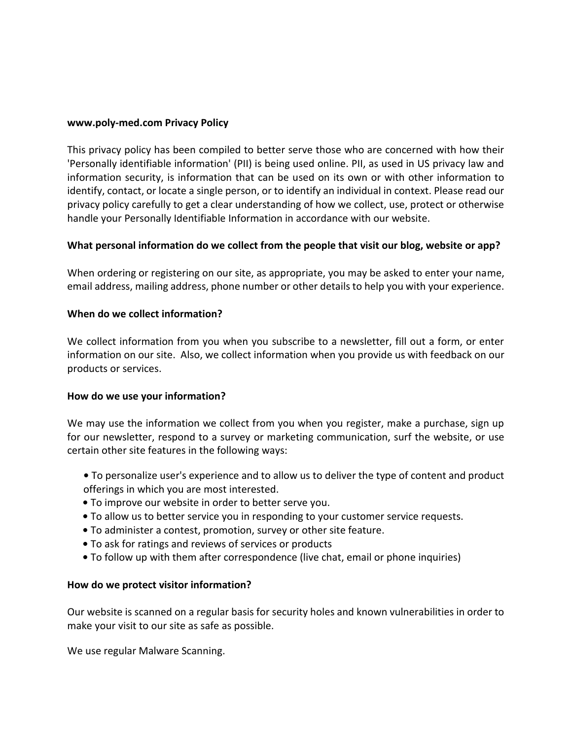#### **www.poly-med.com Privacy Policy**

This privacy policy has been compiled to better serve those who are concerned with how their 'Personally identifiable information' (PII) is being used online. PII, as used in US privacy law and information security, is information that can be used on its own or with other information to identify, contact, or locate a single person, or to identify an individual in context. Please read our privacy policy carefully to get a clear understanding of how we collect, use, protect or otherwise handle your Personally Identifiable Information in accordance with our website.

## **What personal information do we collect from the people that visit our blog, website or app?**

When ordering or registering on our site, as appropriate, you may be asked to enter your name, email address, mailing address, phone number or other details to help you with your experience.

## **When do we collect information?**

We collect information from you when you subscribe to a newsletter, fill out a form, or enter information on our site. Also, we collect information when you provide us with feedback on our products or services.

## **How do we use your information?**

We may use the information we collect from you when you register, make a purchase, sign up for our newsletter, respond to a survey or marketing communication, surf the website, or use certain other site features in the following ways:

- **•** To personalize user's experience and to allow us to deliver the type of content and product offerings in which you are most interested.
- **•** To improve our website in order to better serve you.
- **•** To allow us to better service you in responding to your customer service requests.
- **•** To administer a contest, promotion, survey or other site feature.
- **•** To ask for ratings and reviews of services or products
- **•** To follow up with them after correspondence (live chat, email or phone inquiries)

## **How do we protect visitor information?**

Our website is scanned on a regular basis for security holes and known vulnerabilities in order to make your visit to our site as safe as possible.

We use regular Malware Scanning.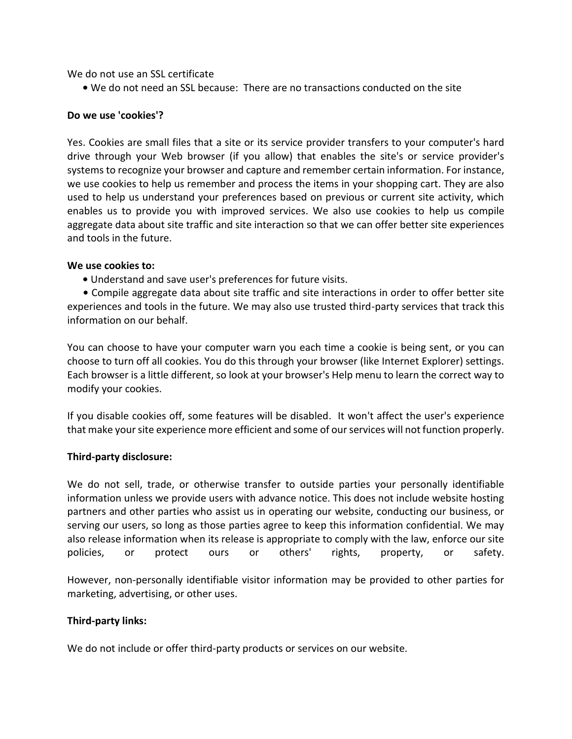We do not use an SSL certificate

**•** We do not need an SSL because: There are no transactions conducted on the site

## **Do we use 'cookies'?**

Yes. Cookies are small files that a site or its service provider transfers to your computer's hard drive through your Web browser (if you allow) that enables the site's or service provider's systems to recognize your browser and capture and remember certain information. For instance, we use cookies to help us remember and process the items in your shopping cart. They are also used to help us understand your preferences based on previous or current site activity, which enables us to provide you with improved services. We also use cookies to help us compile aggregate data about site traffic and site interaction so that we can offer better site experiences and tools in the future.

#### **We use cookies to:**

**•** Understand and save user's preferences for future visits.

 **•** Compile aggregate data about site traffic and site interactions in order to offer better site experiences and tools in the future. We may also use trusted third-party services that track this information on our behalf.

You can choose to have your computer warn you each time a cookie is being sent, or you can choose to turn off all cookies. You do this through your browser (like Internet Explorer) settings. Each browser is a little different, so look at your browser's Help menu to learn the correct way to modify your cookies.

If you disable cookies off, some features will be disabled. It won't affect the user's experience that make your site experience more efficient and some of our services will not function properly.

## **Third-party disclosure:**

We do not sell, trade, or otherwise transfer to outside parties your personally identifiable information unless we provide users with advance notice. This does not include website hosting partners and other parties who assist us in operating our website, conducting our business, or serving our users, so long as those parties agree to keep this information confidential. We may also release information when its release is appropriate to comply with the law, enforce our site policies, or protect ours or others' rights, property, or safety.

However, non-personally identifiable visitor information may be provided to other parties for marketing, advertising, or other uses.

## **Third-party links:**

We do not include or offer third-party products or services on our website.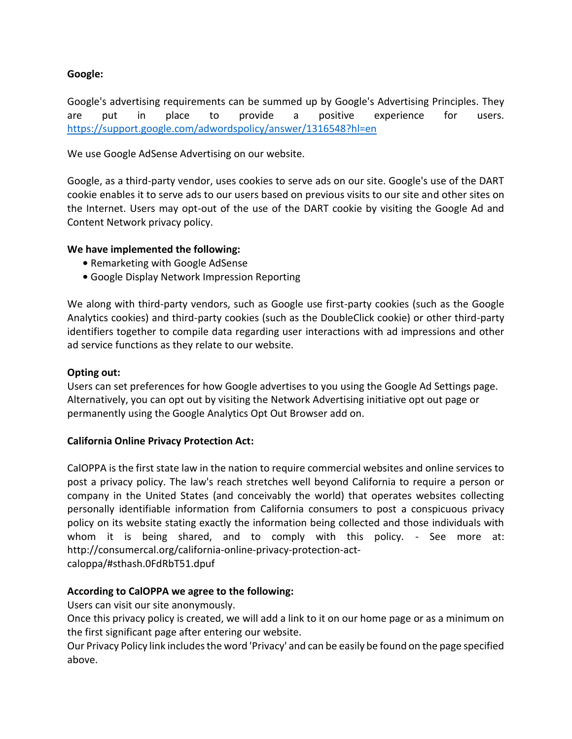# **Google:**

Google's advertising requirements can be summed up by Google's Advertising Principles. They are put in place to provide a positive experience for users. <https://support.google.com/adwordspolicy/answer/1316548?hl=en>

We use Google AdSense Advertising on our website.

Google, as a third-party vendor, uses cookies to serve ads on our site. Google's use of the DART cookie enables it to serve ads to our users based on previous visits to our site and other sites on the Internet. Users may opt-out of the use of the DART cookie by visiting the Google Ad and Content Network privacy policy.

# **We have implemented the following:**

- **•** Remarketing with Google AdSense
- **•** Google Display Network Impression Reporting

We along with third-party vendors, such as Google use first-party cookies (such as the Google Analytics cookies) and third-party cookies (such as the DoubleClick cookie) or other third-party identifiers together to compile data regarding user interactions with ad impressions and other ad service functions as they relate to our website.

## **Opting out:**

Users can set preferences for how Google advertises to you using the Google Ad Settings page. Alternatively, you can opt out by visiting the Network Advertising initiative opt out page or permanently using the Google Analytics Opt Out Browser add on.

## **California Online Privacy Protection Act:**

CalOPPA is the first state law in the nation to require commercial websites and online services to post a privacy policy. The law's reach stretches well beyond California to require a person or company in the United States (and conceivably the world) that operates websites collecting personally identifiable information from California consumers to post a conspicuous privacy policy on its website stating exactly the information being collected and those individuals with whom it is being shared, and to comply with this policy. - See more at: http://consumercal.org/california-online-privacy-protection-actcaloppa/#sthash.0FdRbT51.dpuf

## **According to CalOPPA we agree to the following:**

Users can visit our site anonymously.

Once this privacy policy is created, we will add a link to it on our home page or as a minimum on the first significant page after entering our website.

Our Privacy Policy link includes the word 'Privacy' and can be easily be found on the page specified above.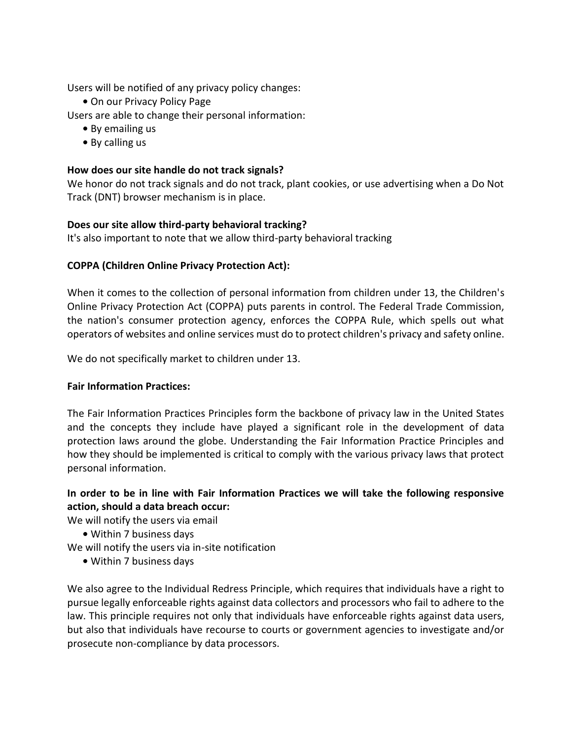Users will be notified of any privacy policy changes:

**•** On our Privacy Policy Page

Users are able to change their personal information:

- **•** By emailing us
- **•** By calling us

# **How does our site handle do not track signals?**

We honor do not track signals and do not track, plant cookies, or use advertising when a Do Not Track (DNT) browser mechanism is in place.

# **Does our site allow third-party behavioral tracking?**

It's also important to note that we allow third-party behavioral tracking

# **COPPA (Children Online Privacy Protection Act):**

When it comes to the collection of personal information from children under 13, the Children's Online Privacy Protection Act (COPPA) puts parents in control. The Federal Trade Commission, the nation's consumer protection agency, enforces the COPPA Rule, which spells out what operators of websites and online services must do to protect children's privacy and safety online.

We do not specifically market to children under 13.

## **Fair Information Practices:**

The Fair Information Practices Principles form the backbone of privacy law in the United States and the concepts they include have played a significant role in the development of data protection laws around the globe. Understanding the Fair Information Practice Principles and how they should be implemented is critical to comply with the various privacy laws that protect personal information.

# **In order to be in line with Fair Information Practices we will take the following responsive action, should a data breach occur:**

We will notify the users via email

- **•** Within 7 business days
- We will notify the users via in-site notification
	- **•** Within 7 business days

We also agree to the Individual Redress Principle, which requires that individuals have a right to pursue legally enforceable rights against data collectors and processors who fail to adhere to the law. This principle requires not only that individuals have enforceable rights against data users, but also that individuals have recourse to courts or government agencies to investigate and/or prosecute non-compliance by data processors.